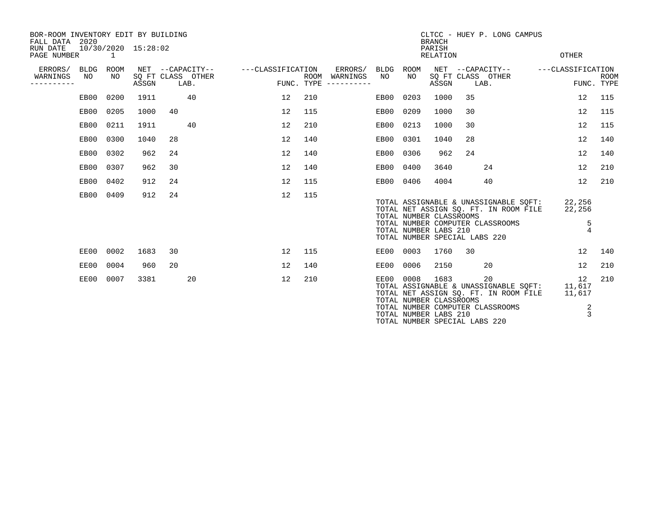| BOR-ROOM INVENTORY EDIT BY BUILDING<br>FALL DATA 2020<br>RUN DATE<br>PAGE NUMBER |                   | $\overline{1}$ | 10/30/2020 15:28:02 |    |                                               |                   |              |      |                                    |             |                                                                                   | <b>BRANCH</b><br>PARISH<br><b>RELATION</b> |    | CLTCC - HUEY P. LONG CAMPUS                                                                                                     | <b>OTHER</b>                            |             |
|----------------------------------------------------------------------------------|-------------------|----------------|---------------------|----|-----------------------------------------------|-------------------|--------------|------|------------------------------------|-------------|-----------------------------------------------------------------------------------|--------------------------------------------|----|---------------------------------------------------------------------------------------------------------------------------------|-----------------------------------------|-------------|
| ERRORS/<br>WARNINGS<br>--------                                                  | <b>BLDG</b><br>NO | ROOM<br>NO.    | ASSGN               |    | NET --CAPACITY--<br>SQ FT CLASS OTHER<br>LAB. | ---CLASSIFICATION | FUNC. TYPE   | ROOM | ERRORS/<br>WARNINGS<br>----------- | BLDG<br>NO. | ROOM<br>NO                                                                        | ASSGN                                      |    | NET --CAPACITY--<br>SQ FT CLASS OTHER<br>LAB.                                                                                   | ---CLASSIFICATION<br>FUNC. TYPE         | <b>ROOM</b> |
|                                                                                  | EB00              | 0200           | 1911                |    | 40                                            |                   | 12           | 210  |                                    | EB00        | 0203                                                                              | 1000                                       | 35 |                                                                                                                                 | 12                                      | 115         |
|                                                                                  |                   | EB00 0205      | 1000                | 40 |                                               |                   | 12           | 115  |                                    | EB00        | 0209                                                                              | 1000                                       | 30 |                                                                                                                                 | 12                                      | 115         |
|                                                                                  | EB00              | 0211           | 1911                |    | 40                                            |                   | 12           | 210  |                                    | EB00        | 0213                                                                              | 1000                                       | 30 |                                                                                                                                 | 12                                      | 115         |
|                                                                                  | EB00              | 0300           | 1040                | 28 |                                               |                   | 12           | 140  |                                    | EB00        | 0301                                                                              | 1040                                       | 28 |                                                                                                                                 | 12                                      | 140         |
|                                                                                  | EB00              | 0302           | 962                 | 24 |                                               |                   | 12           | 140  |                                    | EB00        | 0306                                                                              | 962                                        | 24 |                                                                                                                                 | 12                                      | 140         |
|                                                                                  | EB00              | 0307           | 962                 | 30 |                                               |                   | 12           | 140  |                                    | EB00        | 0400                                                                              | 3640                                       |    | 24                                                                                                                              | 12                                      | 210         |
|                                                                                  | EB00              | 0402           | 912                 | 24 |                                               |                   | 12           | 115  |                                    | EB00        | 0406                                                                              | 4004                                       |    | 40                                                                                                                              | 12                                      | 210         |
|                                                                                  | EB00              | 0409           | 912                 | 24 |                                               |                   | 12           | 115  |                                    |             | TOTAL NUMBER CLASSROOMS<br>TOTAL NUMBER LABS 210<br>TOTAL NUMBER SPECIAL LABS 220 |                                            |    | TOTAL ASSIGNABLE & UNASSIGNABLE SQFT:<br>TOTAL NET ASSIGN SQ. FT. IN ROOM FILE<br>TOTAL NUMBER COMPUTER CLASSROOMS              | 22,256<br>22,256<br>5<br>$\overline{4}$ |             |
|                                                                                  | EE00              | 0002           | 1683                | 30 |                                               |                   | $12^{\circ}$ | 115  |                                    | EE00        | 0003                                                                              | 1760                                       | 30 |                                                                                                                                 | 12                                      | 140         |
|                                                                                  | EE00              | 0004           | 960                 | 20 |                                               |                   | 12           | 140  |                                    | EE00        | 0006                                                                              | 2150                                       |    | 20                                                                                                                              | 12                                      | 210         |
|                                                                                  | EE00              | 0007           | 3381                |    | 20                                            |                   | 12           | 210  |                                    | EE00        | 0008<br>TOTAL NUMBER CLASSROOMS<br>TOTAL NUMBER LABS 210                          | 1683                                       |    | 20<br>TOTAL ASSIGNABLE & UNASSIGNABLE SOFT: 11,617<br>TOTAL NET ASSIGN SO. FT. IN ROOM FILE<br>TOTAL NUMBER COMPUTER CLASSROOMS | 12<br>11,617<br>2<br>3                  | 210         |

TOTAL NUMBER SPECIAL LABS 220